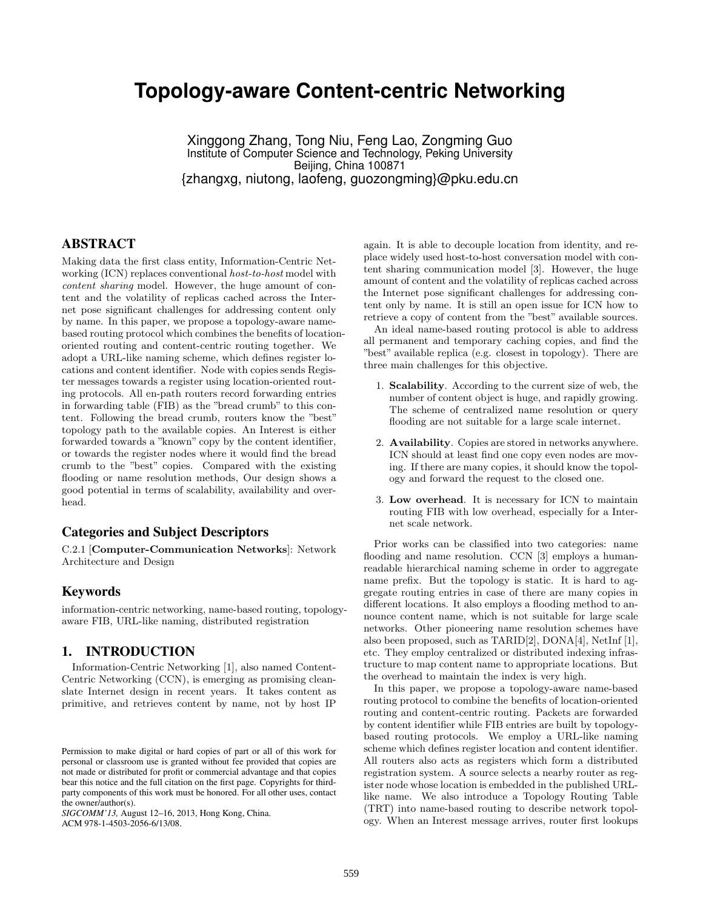# **Topology-aware Content-centric Networking**

Xinggong Zhang, Tong Niu, Feng Lao, Zongming Guo Institute of Computer Science and Technology, Peking University Beijing, China 100871 {zhangxg, niutong, laofeng, guozongming}@pku.edu.cn

## ABSTRACT

Making data the first class entity, Information-Centric Networking (ICN) replaces conventional *host-to-host* model with *content sharing* model. However, the huge amount of content and the volatility of replicas cached across the Internet pose significant challenges for addressing content only by name. In this paper, we propose a topology-aware namebased routing protocol which combines the benefits of locationoriented routing and content-centric routing together. We adopt a URL-like naming scheme, which defines register locations and content identifier. Node with copies sends Register messages towards a register using location-oriented routing protocols. All en-path routers record forwarding entries in forwarding table (FIB) as the "bread crumb" to this content. Following the bread crumb, routers know the "best" topology path to the available copies. An Interest is either forwarded towards a "known" copy by the content identifier, or towards the register nodes where it would find the bread crumb to the "best" copies. Compared with the existing flooding or name resolution methods, Our design shows a good potential in terms of scalability, availability and overhead.

## Categories and Subject Descriptors

C.2.1 [Computer-Communication Networks]: Network Architecture and Design

## Keywords

information-centric networking, name-based routing, topologyaware FIB, URL-like naming, distributed registration

## 1. INTRODUCTION

Information-Centric Networking [1], also named Content-Centric Networking (CCN), is emerging as promising cleanslate Internet design in recent years. It takes content as primitive, and retrieves content by name, not by host IP

*SIGCOMM'13,* August 12–16, 2013, Hong Kong, China. ACM 978-1-4503-2056-6/13/08.

again. It is able to decouple location from identity, and replace widely used host-to-host conversation model with content sharing communication model [3]. However, the huge amount of content and the volatility of replicas cached across the Internet pose significant challenges for addressing content only by name. It is still an open issue for ICN how to retrieve a copy of content from the "best" available sources.

An ideal name-based routing protocol is able to address all permanent and temporary caching copies, and find the "best" available replica (e.g. closest in topology). There are three main challenges for this objective.

- 1. Scalability. According to the current size of web, the number of content object is huge, and rapidly growing. The scheme of centralized name resolution or query flooding are not suitable for a large scale internet.
- 2. Availability. Copies are stored in networks anywhere. ICN should at least find one copy even nodes are moving. If there are many copies, it should know the topology and forward the request to the closed one.
- 3. Low overhead. It is necessary for ICN to maintain routing FIB with low overhead, especially for a Internet scale network.

Prior works can be classified into two categories: name flooding and name resolution. CCN [3] employs a humanreadable hierarchical naming scheme in order to aggregate name prefix. But the topology is static. It is hard to aggregate routing entries in case of there are many copies in different locations. It also employs a flooding method to announce content name, which is not suitable for large scale networks. Other pioneering name resolution schemes have also been proposed, such as TARID[2], DONA[4], NetInf [1], etc. They employ centralized or distributed indexing infrastructure to map content name to appropriate locations. But the overhead to maintain the index is very high.

In this paper, we propose a topology-aware name-based routing protocol to combine the benefits of location-oriented routing and content-centric routing. Packets are forwarded by content identifier while FIB entries are built by topologybased routing protocols. We employ a URL-like naming scheme which defines register location and content identifier. All routers also acts as registers which form a distributed registration system. A source selects a nearby router as register node whose location is embedded in the published URLlike name. We also introduce a Topology Routing Table (TRT) into name-based routing to describe network topology. When an Interest message arrives, router first lookups

Permission to make digital or hard copies of part or all of this work for personal or classroom use is granted without fee provided that copies are not made or distributed for profit or commercial advantage and that copies bear this notice and the full citation on the first page. Copyrights for thirdparty components of this work must be honored. For all other uses, contact the owner/author(s).